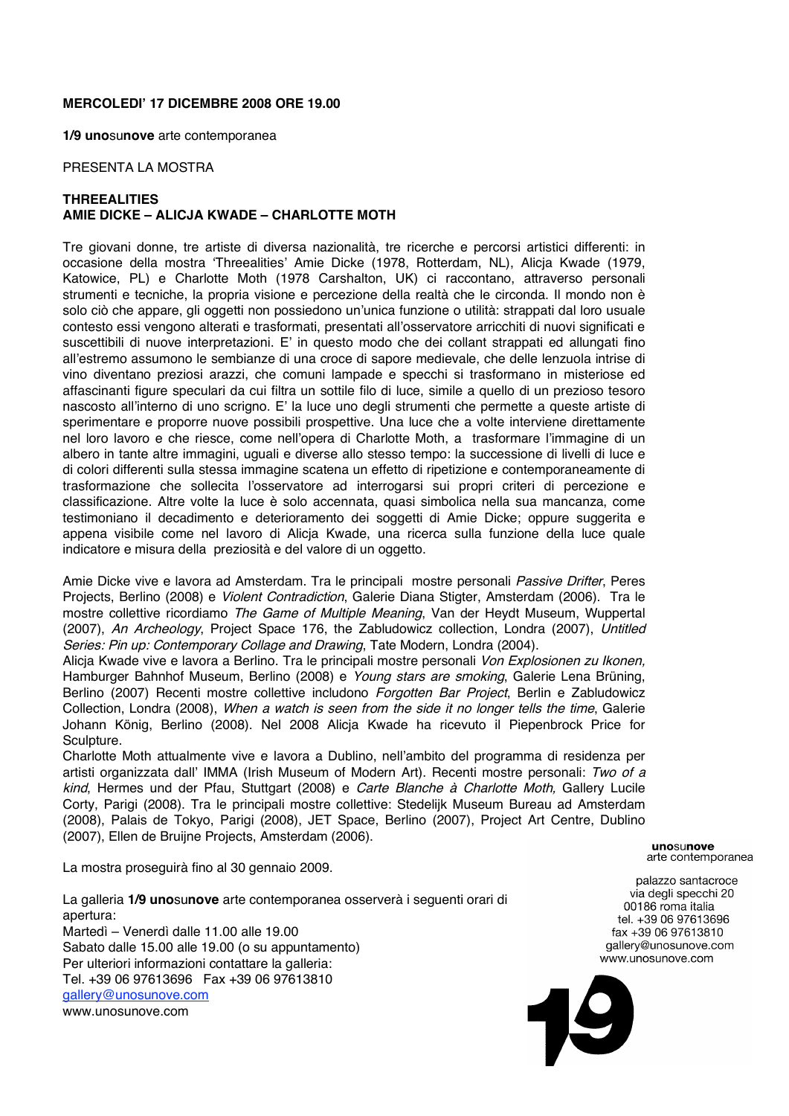## **MERCOLEDI' 17 DICEMBRE 2008 ORE 19.00**

**1/9 uno**su**nove** arte contemporanea

#### PRESENTA LA MOSTRA

# **THREEALITIES AMIE DICKE – ALICJA KWADE – CHARLOTTE MOTH**

Tre giovani donne, tre artiste di diversa nazionalità, tre ricerche e percorsi artistici differenti: in occasione della mostra 'Threealities' Amie Dicke (1978, Rotterdam, NL), Alicja Kwade (1979, Katowice, PL) e Charlotte Moth (1978 Carshalton, UK) ci raccontano, attraverso personali strumenti e tecniche, la propria visione e percezione della realtà che le circonda. Il mondo non è solo ciò che appare, gli oggetti non possiedono un'unica funzione o utilità: strappati dal loro usuale contesto essi vengono alterati e trasformati, presentati all'osservatore arricchiti di nuovi significati e suscettibili di nuove interpretazioni. E' in questo modo che dei collant strappati ed allungati fino all'estremo assumono le sembianze di una croce di sapore medievale, che delle lenzuola intrise di vino diventano preziosi arazzi, che comuni lampade e specchi si trasformano in misteriose ed affascinanti figure speculari da cui filtra un sottile filo di luce, simile a quello di un prezioso tesoro nascosto all'interno di uno scrigno. E' la luce uno degli strumenti che permette a queste artiste di sperimentare e proporre nuove possibili prospettive. Una luce che a volte interviene direttamente nel loro lavoro e che riesce, come nell'opera di Charlotte Moth, a trasformare l'immagine di un albero in tante altre immagini, uguali e diverse allo stesso tempo: la successione di livelli di luce e di colori differenti sulla stessa immagine scatena un effetto di ripetizione e contemporaneamente di trasformazione che sollecita l'osservatore ad interrogarsi sui propri criteri di percezione e classificazione. Altre volte la luce è solo accennata, quasi simbolica nella sua mancanza, come testimoniano il decadimento e deterioramento dei soggetti di Amie Dicke; oppure suggerita e appena visibile come nel lavoro di Alicja Kwade, una ricerca sulla funzione della luce quale indicatore e misura della preziosità e del valore di un oggetto.

Amie Dicke vive e lavora ad Amsterdam. Tra le principali mostre personali Passive Drifter, Peres Projects, Berlino (2008) e Violent Contradiction, Galerie Diana Stigter, Amsterdam (2006). Tra le mostre collettive ricordiamo The Game of Multiple Meaning, Van der Heydt Museum, Wuppertal (2007), An Archeology, Project Space 176, the Zabludowicz collection, Londra (2007), Untitled Series: Pin up: Contemporary Collage and Drawing, Tate Modern, Londra (2004).

Alicja Kwade vive e lavora a Berlino. Tra le principali mostre personali Von Explosionen zu Ikonen, Hamburger Bahnhof Museum, Berlino (2008) e Young stars are smoking, Galerie Lena Brüning, Berlino (2007) Recenti mostre collettive includono Forgotten Bar Project, Berlin e Zabludowicz Collection, Londra (2008), When <sup>a</sup> watch is seen from the side it no longer tells the time, Galerie Johann König, Berlino (2008). Nel 2008 Alicja Kwade ha ricevuto il Piepenbrock Price for Sculpture.

Charlotte Moth attualmente vive e lavora a Dublino, nell'ambito del programma di residenza per artisti organizzata dall' IMMA (Irish Museum of Modern Art). Recenti mostre personali: Two of a kind, Hermes und der Pfau, Stuttgart (2008) e Carte Blanche à Charlotte Moth, Gallery Lucile Corty, Parigi (2008). Tra le principali mostre collettive: Stedelijk Museum Bureau ad Amsterdam (2008), Palais de Tokyo, Parigi (2008), JET Space, Berlino (2007), Project Art Centre, Dublino (2007), Ellen de Bruijne Projects, Amsterdam (2006).

**UDOSUDOVA** arte contemporanea

La mostra proseguirà fino al 30 gennaio 2009.

La galleria **1/9 uno**su**nove** arte contemporanea osserverà i seguenti orari di apertura: Martedì – Venerdì dalle 11.00 alle 19.00

Sabato dalle 15.00 alle 19.00 (o su appuntamento) Per ulteriori informazioni contattare la galleria: Tel. +39 06 97613696 Fax +39 06 97613810 gallery@unosunove.com www.unosunove.com

palazzo santacroce via degli specchi 20 00186 roma italia tel. +39 06 97613696 fax +39 06 97613810 gallery@unosunove.com www.unosunove.com